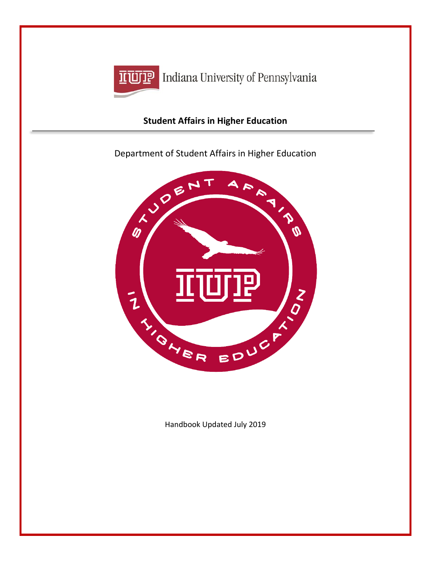

**IFUTE** Indiana University of Pennsylvania

# **Student Affairs in Higher Education**



Handbook Updated July 2019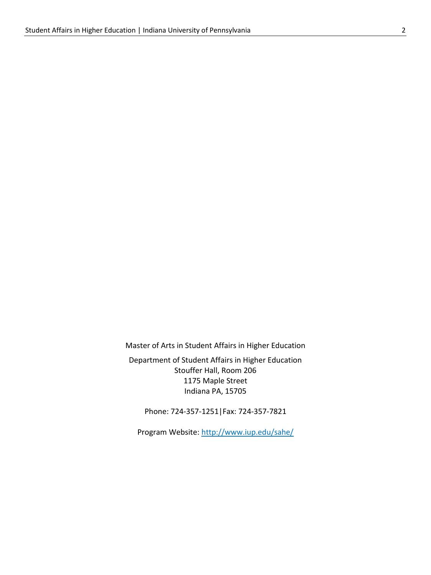Master of Arts in Student Affairs in Higher Education

Department of Student Affairs in Higher Education Stouffer Hall, Room 206 1175 Maple Street Indiana PA, 15705

Phone: 724-357-1251|Fax: 724-357-7821

Program Website:<http://www.iup.edu/sahe/>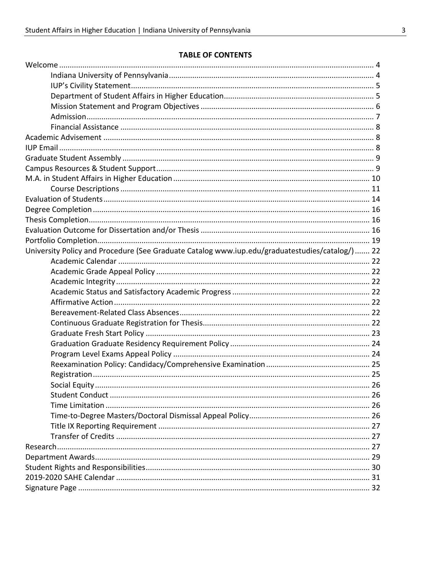#### **TABLE OF CONTENTS**

| University Policy and Procedure (See Graduate Catalog www.iup.edu/graduatestudies/catalog/) 22 |  |
|------------------------------------------------------------------------------------------------|--|
|                                                                                                |  |
|                                                                                                |  |
|                                                                                                |  |
|                                                                                                |  |
|                                                                                                |  |
|                                                                                                |  |
|                                                                                                |  |
|                                                                                                |  |
|                                                                                                |  |
|                                                                                                |  |
|                                                                                                |  |
|                                                                                                |  |
|                                                                                                |  |
|                                                                                                |  |
|                                                                                                |  |
|                                                                                                |  |
|                                                                                                |  |
|                                                                                                |  |
|                                                                                                |  |
|                                                                                                |  |
|                                                                                                |  |
|                                                                                                |  |
|                                                                                                |  |
|                                                                                                |  |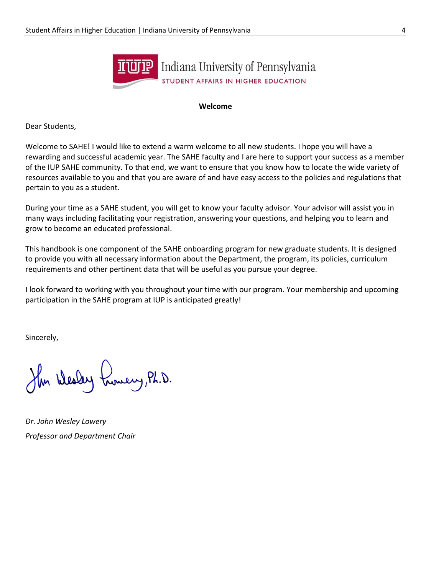

#### **Welcome**

Dear Students,

Welcome to SAHE! I would like to extend a warm welcome to all new students. I hope you will have a rewarding and successful academic year. The SAHE faculty and I are here to support your success as a member of the IUP SAHE community. To that end, we want to ensure that you know how to locate the wide variety of resources available to you and that you are aware of and have easy access to the policies and regulations that pertain to you as a student.

During your time as a SAHE student, you will get to know your faculty advisor. Your advisor will assist you in many ways including facilitating your registration, answering your questions, and helping you to learn and grow to become an educated professional.

This handbook is one component of the SAHE onboarding program for new graduate students. It is designed to provide you with all necessary information about the Department, the program, its policies, curriculum requirements and other pertinent data that will be useful as you pursue your degree.

I look forward to working with you throughout your time with our program. Your membership and upcoming participation in the SAHE program at IUP is anticipated greatly!

Sincerely,

Her Wesley Lunery, Ph.D.

*Dr. John Wesley Lowery Professor and Department Chair*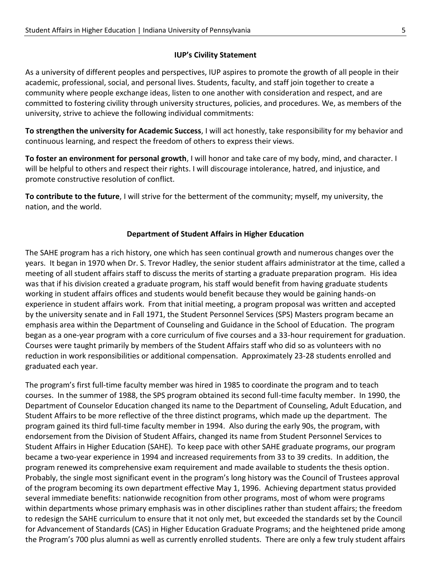### **IUP's Civility Statement**

As a university of different peoples and perspectives, IUP aspires to promote the growth of all people in their academic, professional, social, and personal lives. Students, faculty, and staff join together to create a community where people exchange ideas, listen to one another with consideration and respect, and are committed to fostering civility through university structures, policies, and procedures. We, as members of the university, strive to achieve the following individual commitments:

**To strengthen the university for Academic Success**, I will act honestly, take responsibility for my behavior and continuous learning, and respect the freedom of others to express their views.

**To foster an environment for personal growth**, I will honor and take care of my body, mind, and character. I will be helpful to others and respect their rights. I will discourage intolerance, hatred, and injustice, and promote constructive resolution of conflict.

**To contribute to the future**, I will strive for the betterment of the community; myself, my university, the nation, and the world.

### **Department of Student Affairs in Higher Education**

The SAHE program has a rich history, one which has seen continual growth and numerous changes over the years. It began in 1970 when Dr. S. Trevor Hadley, the senior student affairs administrator at the time, called a meeting of all student affairs staff to discuss the merits of starting a graduate preparation program. His idea was that if his division created a graduate program, his staff would benefit from having graduate students working in student affairs offices and students would benefit because they would be gaining hands-on experience in student affairs work. From that initial meeting, a program proposal was written and accepted by the university senate and in Fall 1971, the Student Personnel Services (SPS) Masters program became an emphasis area within the Department of Counseling and Guidance in the School of Education. The program began as a one-year program with a core curriculum of five courses and a 33-hour requirement for graduation. Courses were taught primarily by members of the Student Affairs staff who did so as volunteers with no reduction in work responsibilities or additional compensation. Approximately 23-28 students enrolled and graduated each year.

The program's first full-time faculty member was hired in 1985 to coordinate the program and to teach courses. In the summer of 1988, the SPS program obtained its second full-time faculty member. In 1990, the Department of Counselor Education changed its name to the Department of Counseling, Adult Education, and Student Affairs to be more reflective of the three distinct programs, which made up the department. The program gained its third full-time faculty member in 1994. Also during the early 90s, the program, with endorsement from the Division of Student Affairs, changed its name from Student Personnel Services to Student Affairs in Higher Education (SAHE). To keep pace with other SAHE graduate programs, our program became a two-year experience in 1994 and increased requirements from 33 to 39 credits. In addition, the program renewed its comprehensive exam requirement and made available to students the thesis option. Probably, the single most significant event in the program's long history was the Council of Trustees approval of the program becoming its own department effective May 1, 1996. Achieving department status provided several immediate benefits: nationwide recognition from other programs, most of whom were programs within departments whose primary emphasis was in other disciplines rather than student affairs; the freedom to redesign the SAHE curriculum to ensure that it not only met, but exceeded the standards set by the Council for Advancement of Standards (CAS) in Higher Education Graduate Programs; and the heightened pride among the Program's 700 plus alumni as well as currently enrolled students. There are only a few truly student affairs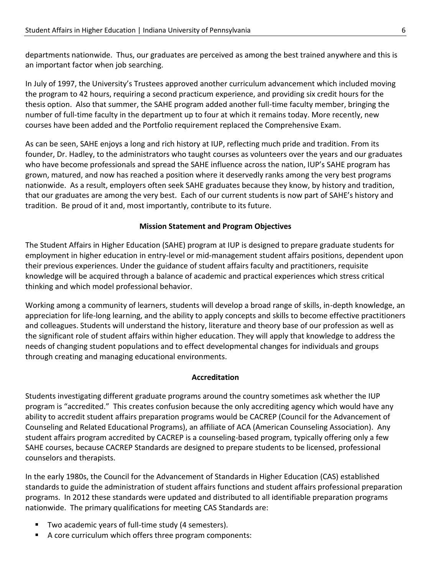departments nationwide. Thus, our graduates are perceived as among the best trained anywhere and this is an important factor when job searching.

In July of 1997, the University's Trustees approved another curriculum advancement which included moving the program to 42 hours, requiring a second practicum experience, and providing six credit hours for the thesis option. Also that summer, the SAHE program added another full-time faculty member, bringing the number of full-time faculty in the department up to four at which it remains today. More recently, new courses have been added and the Portfolio requirement replaced the Comprehensive Exam.

As can be seen, SAHE enjoys a long and rich history at IUP, reflecting much pride and tradition. From its founder, Dr. Hadley, to the administrators who taught courses as volunteers over the years and our graduates who have become professionals and spread the SAHE influence across the nation, IUP's SAHE program has grown, matured, and now has reached a position where it deservedly ranks among the very best programs nationwide. As a result, employers often seek SAHE graduates because they know, by history and tradition, that our graduates are among the very best. Each of our current students is now part of SAHE's history and tradition. Be proud of it and, most importantly, contribute to its future.

#### **Mission Statement and Program Objectives**

The Student Affairs in Higher Education (SAHE) program at IUP is designed to prepare graduate students for employment in higher education in entry-level or mid-management student affairs positions, dependent upon their previous experiences. Under the guidance of student affairs faculty and practitioners, requisite knowledge will be acquired through a balance of academic and practical experiences which stress critical thinking and which model professional behavior.

Working among a community of learners, students will develop a broad range of skills, in-depth knowledge, an appreciation for life-long learning, and the ability to apply concepts and skills to become effective practitioners and colleagues. Students will understand the history, literature and theory base of our profession as well as the significant role of student affairs within higher education. They will apply that knowledge to address the needs of changing student populations and to effect developmental changes for individuals and groups through creating and managing educational environments.

#### **Accreditation**

Students investigating different graduate programs around the country sometimes ask whether the IUP program is "accredited." This creates confusion because the only accrediting agency which would have any ability to accredit student affairs preparation programs would be CACREP (Council for the Advancement of Counseling and Related Educational Programs), an affiliate of ACA (American Counseling Association). Any student affairs program accredited by CACREP is a counseling-based program, typically offering only a few SAHE courses, because CACREP Standards are designed to prepare students to be licensed, professional counselors and therapists.

In the early 1980s, the Council for the Advancement of Standards in Higher Education (CAS) established standards to guide the administration of student affairs functions and student affairs professional preparation programs. In 2012 these standards were updated and distributed to all identifiable preparation programs nationwide. The primary qualifications for meeting CAS Standards are:

- Two academic years of full-time study (4 semesters).
- A core curriculum which offers three program components: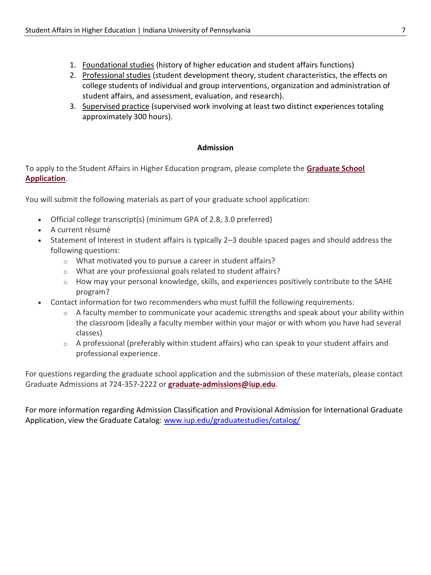- 1. Foundational studies (history of higher education and student affairs functions)
- 2. Professional studies (student development theory, student characteristics, the effects on college students of individual and group interventions, organization and administration of student affairs, and assessment, evaluation, and research).
- 3. Supervised practice (supervised work involving at least two distinct experiences totaling approximately 300 hours).

#### **Admission**

To apply to the Student Affairs in Higher Education program, please complete the **[Graduate School](http://www.iup.edu/gradapply)  [Application](http://www.iup.edu/gradapply)**.

You will submit the following materials as part of your graduate school application:

- Official college transcript(s) (minimum GPA of 2.8, 3.0 preferred)
- A current résumé
- Statement of Interest in student affairs is typically 2–3 double spaced pages and should address the following questions:
	- o What motivated you to pursue a career in student affairs?
	- o What are your professional goals related to student affairs?
	- o How may your personal knowledge, skills, and experiences positively contribute to the SAHE program?
- Contact information for two recommenders who must fulfill the following requirements:
	- o A faculty member to communicate your academic strengths and speak about your ability within the classroom (ideally a faculty member within your major or with whom you have had several classes)
	- o A professional (preferably within student affairs) who can speak to your student affairs and professional experience.

For questions regarding the graduate school application and the submission of these materials, please contact Graduate Admissions at 724-357-2222 or **[graduate-admissions@iup.edu](mailto:graduate-admissions@iup.edu)**.

For more information regarding Admission Classification and Provisional Admission for International Graduate Application, view the Graduate Catalog: [www.iup.edu/graduatestudies/catalog/](http://www.iup.edu/graduatestudies/catalog/)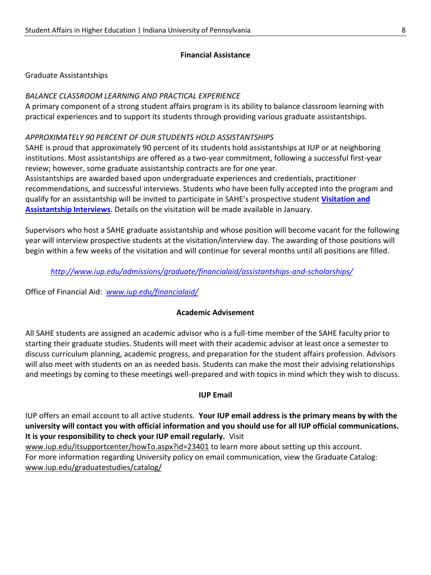#### **Financial Assistance**

#### Graduate Assistantships

#### *BALANCE CLASSROOM LEARNING AND PRACTICAL EXPERIENCE*

A primary component of a strong student affairs program is its ability to balance classroom learning with practical experiences and to support its students through providing various graduate assistantships*.*

#### *APPROXIMATELY 90 PERCENT OF OUR STUDENTS HOLD ASSISTANTSHIPS*

SAHE is proud that approximately 90 percent of its students hold assistantships at IUP or at neighboring institutions. Most assistantships are offered as a two-year commitment, following a successful first-year review; however, some graduate assistantship contracts are for one year.

Assistantships are awarded based upon undergraduate experiences and credentials, practitioner recommendations, and successful interviews. Students who have been fully accepted into the program and qualify for an assistantship will be invited to participate in SAHE's prospective student **[Visitation and](http://www.iup.edu/WorkArea/linkit.aspx?LinkIdentifier=id&ItemID=227537)  [Assistantship Interviews](http://www.iup.edu/WorkArea/linkit.aspx?LinkIdentifier=id&ItemID=227537)**. Details on the visitation will be made available in January.

Supervisors who host a SAHE graduate assistantship and whose position will become vacant for the following year will interview prospective students at the visitation/interview day. The awarding of those positions will begin within a few weeks of the visitation and will continue for several months until all positions are filled.

*<http://www.iup.edu/admissions/graduate/financialaid/assistantships-and-scholarships/>*

Office of Financial Aid: *[www.iup.edu/financialaid/](http://www.iup.edu/financialaid/)*

#### **Academic Advisement**

All SAHE students are assigned an academic advisor who is a full-time member of the SAHE faculty prior to starting their graduate studies. Students will meet with their academic advisor at least once a semester to discuss curriculum planning, academic progress, and preparation for the student affairs profession. Advisors will also meet with students on an as needed basis. Students can make the most their advising relationships and meetings by coming to these meetings well-prepared and with topics in mind which they wish to discuss.

#### **IUP Email**

IUP offers an email account to all active students. **Your IUP email address is the primary means by with the university will contact you with official information and you should use for all IUP official communications. It is your responsibility to check your IUP email regularly.** Visit

[www.iup.edu/itsupportcenter/howTo.aspx?id=23401](http://www.iup.edu/itsupportcenter/howTo.aspx?id=23401) to learn more about setting up this account. For more information regarding University policy on email communication, view the Graduate Catalog: [www.iup.edu/graduatestudies/catalog/](http://www.iup.edu/graduatestudies/catalog/)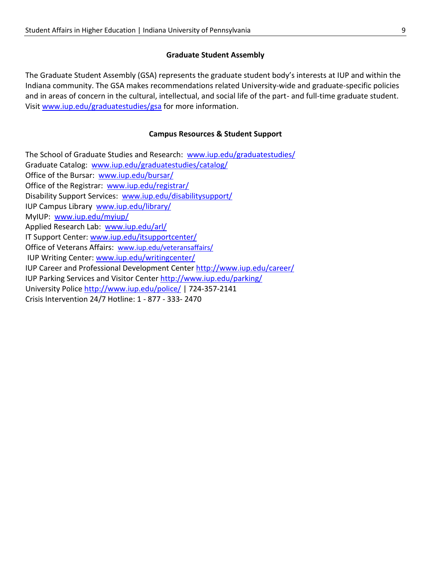### **Graduate Student Assembly**

The Graduate Student Assembly (GSA) represents the graduate student body's interests at IUP and within the Indiana community. The GSA makes recommendations related University-wide and graduate-specific policies and in areas of concern in the cultural, intellectual, and social life of the part- and full-time graduate student. Visi[t www.iup.edu/graduatestudies/gsa](http://www.iup.edu/graduatestudies/gsa) for more information.

### **Campus Resources & Student Support**

The School of Graduate Studies and Research: [www.iup.edu/graduatestudies/](http://www.iup.edu/graduatestudies/) Graduate Catalog: [www.iup.edu/graduatestudies/catalog/](http://www.iup.edu/graduatestudies/catalog/) Office of the Bursar: [www.iup.edu/bursar/](http://www.iup.edu/bursar/) Office of the Registrar: [www.iup.edu/registrar/](http://www.iup.edu/registrar/) Disability Support Services: [www.iup.edu/disabilitysupport/](http://www.iup.edu/disabilitysupport/) IUP Campus Library [www.iup.edu/library/](http://www.iup.edu/library/)  MyIUP: [www.iup.edu/myiup/](http://www.iup.edu/myiup/) Applied Research Lab: [www.iup.edu/arl/](http://www.iup.edu/arl/) IT Support Center: [www.iup.edu/itsupportcenter/](http://www.iup.edu/itsupportcenter/) Office of Veterans Affairs: [www.iup.edu/veteransaffairs/](http://www.iup.edu/veteransaffairs/) IUP Writing Center: [www.iup.edu/writingcenter/](http://www.iup.edu/writingcenter/) IUP Career and Professional Development Center<http://www.iup.edu/career/> IUP Parking Services and Visitor Center<http://www.iup.edu/parking/> University Polic[e http://www.iup.edu/police/](http://www.iup.edu/police/) | 724-357-2141 Crisis Intervention 24/7 Hotline: 1 - 877 - 333- 2470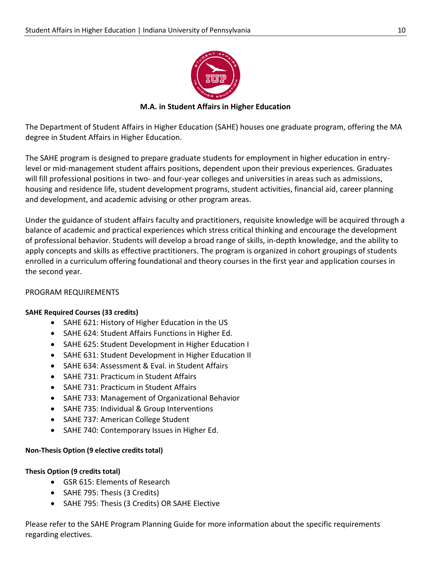

**M.A. in Student Affairs in Higher Education**

The Department of Student Affairs in Higher Education (SAHE) houses one graduate program, offering the MA degree in Student Affairs in Higher Education.

The SAHE program is designed to prepare graduate students for employment in higher education in entrylevel or mid-management student affairs positions, dependent upon their previous experiences. Graduates will fill professional positions in two- and four-year colleges and universities in areas such as admissions, housing and residence life, student development programs, student activities, financial aid, career planning and development, and academic advising or other program areas.

Under the guidance of student affairs faculty and practitioners, requisite knowledge will be acquired through a balance of academic and practical experiences which stress critical thinking and encourage the development of professional behavior. Students will develop a broad range of skills, in-depth knowledge, and the ability to apply concepts and skills as effective practitioners. The program is organized in cohort groupings of students enrolled in a curriculum offering foundational and theory courses in the first year and application courses in the second year.

### PROGRAM REQUIREMENTS

#### **SAHE Required Courses (33 credits)**

- SAHE 621: History of Higher Education in the US
- SAHE 624: Student Affairs Functions in Higher Ed.
- SAHE 625: Student Development in Higher Education I
- SAHE 631: Student Development in Higher Education II
- SAHE 634: Assessment & Eval. in Student Affairs
- SAHE 731: Practicum in Student Affairs
- SAHE 731: Practicum in Student Affairs
- SAHE 733: Management of Organizational Behavior
- SAHE 735: Individual & Group Interventions
- SAHE 737: American College Student
- SAHE 740: Contemporary Issues in Higher Ed.

### **Non-Thesis Option (9 elective credits total)**

### **Thesis Option (9 credits total)**

- GSR 615: Elements of Research
- SAHE 795: Thesis (3 Credits)
- SAHE 795: Thesis (3 Credits) OR SAHE Elective

Please refer to the SAHE Program Planning Guide for more information about the specific requirements regarding electives.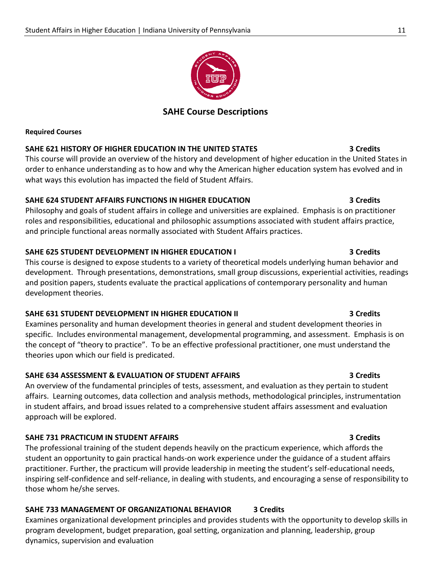# **SAHE Course Descriptions**

#### **Required Courses**

#### **SAHE 621 HISTORY OF HIGHER EDUCATION IN THE UNITED STATES 3 Credits**

This course will provide an overview of the history and development of higher education in the United States in order to enhance understanding as to how and why the American higher education system has evolved and in what ways this evolution has impacted the field of Student Affairs.

#### **SAHE 624 STUDENT AFFAIRS FUNCTIONS IN HIGHER EDUCATION 3 Credits**

Philosophy and goals of student affairs in college and universities are explained. Emphasis is on practitioner roles and responsibilities, educational and philosophic assumptions associated with student affairs practice, and principle functional areas normally associated with Student Affairs practices.

### **SAHE 625 STUDENT DEVELOPMENT IN HIGHER EDUCATION I 3 Credits**

This course is designed to expose students to a variety of theoretical models underlying human behavior and development. Through presentations, demonstrations, small group discussions, experiential activities, readings and position papers, students evaluate the practical applications of contemporary personality and human development theories.

### **SAHE 631 STUDENT DEVELOPMENT IN HIGHER EDUCATION II 3 Credits**

Examines personality and human development theories in general and student development theories in specific. Includes environmental management, developmental programming, and assessment. Emphasis is on the concept of "theory to practice". To be an effective professional practitioner, one must understand the theories upon which our field is predicated.

### **SAHE 634 ASSESSMENT & EVALUATION OF STUDENT AFFAIRS 3 Credits**

An overview of the fundamental principles of tests, assessment, and evaluation as they pertain to student affairs. Learning outcomes, data collection and analysis methods, methodological principles, instrumentation in student affairs, and broad issues related to a comprehensive student affairs assessment and evaluation approach will be explored.

### **SAHE 731 PRACTICUM IN STUDENT AFFAIRS 3 Credits**

The professional training of the student depends heavily on the practicum experience, which affords the student an opportunity to gain practical hands-on work experience under the guidance of a student affairs practitioner. Further, the practicum will provide leadership in meeting the student's self-educational needs, inspiring self-confidence and self-reliance, in dealing with students, and encouraging a sense of responsibility to those whom he/she serves.

# **SAHE 733 MANAGEMENT OF ORGANIZATIONAL BEHAVIOR 3 Credits**

Examines organizational development principles and provides students with the opportunity to develop skills in program development, budget preparation, goal setting, organization and planning, leadership, group dynamics, supervision and evaluation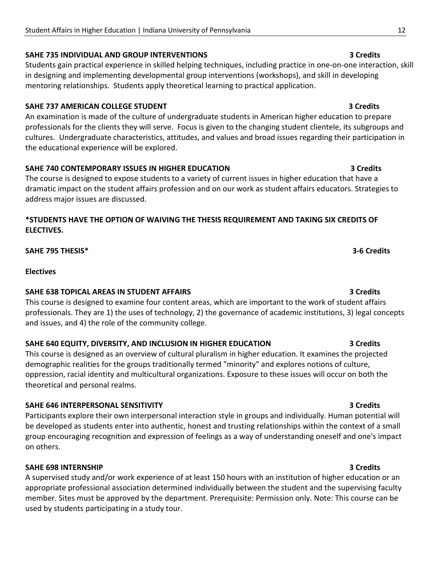#### **SAHE 735 INDIVIDUAL AND GROUP INTERVENTIONS 3 Credits**

Students gain practical experience in skilled helping techniques, including practice in one-on-one interaction, skill in designing and implementing developmental group interventions (workshops), and skill in developing mentoring relationships. Students apply theoretical learning to practical application.

#### **SAHE 737 AMERICAN COLLEGE STUDENT 3 Credits**

An examination is made of the culture of undergraduate students in American higher education to prepare professionals for the clients they will serve. Focus is given to the changing student clientele, its subgroups and cultures. Undergraduate characteristics, attitudes, and values and broad issues regarding their participation in the educational experience will be explored.

#### **SAHE 740 CONTEMPORARY ISSUES IN HIGHER EDUCATION 3 Credits**

The course is designed to expose students to a variety of current issues in higher education that have a dramatic impact on the student affairs profession and on our work as student affairs educators. Strategies to address major issues are discussed.

### **\*STUDENTS HAVE THE OPTION OF WAIVING THE THESIS REQUIREMENT AND TAKING SIX CREDITS OF ELECTIVES.**

**SAHE 795 THESIS\* 3-6 Credits**

#### **Electives**

#### **SAHE 638 TOPICAL AREAS IN STUDENT AFFAIRS 3 Credits**

This course is designed to examine four content areas, which are important to the work of student affairs professionals. They are 1) the uses of technology, 2) the governance of academic institutions, 3) legal concepts and issues, and 4) the role of the community college.

#### **SAHE 640 EQUITY, DIVERSITY, AND INCLUSION IN HIGHER EDUCATION 3 Credits**

This course is designed as an overview of cultural pluralism in higher education. It examines the projected demographic realities for the groups traditionally termed "minority" and explores notions of culture, oppression, racial identity and multicultural organizations. Exposure to these issues will occur on both the theoretical and personal realms.

#### **SAHE 646 INTERPERSONAL SENSITIVITY 3 Credits**

Participants explore their own interpersonal interaction style in groups and individually. Human potential will be developed as students enter into authentic, honest and trusting relationships within the context of a small group encouraging recognition and expression of feelings as a way of understanding oneself and one's impact on others.

#### **SAHE 698 INTERNSHIP 3 Credits**

A supervised study and/or work experience of at least 150 hours with an institution of higher education or an appropriate professional association determined individually between the student and the supervising faculty member. Sites must be approved by the department. Prerequisite: Permission only. Note: This course can be used by students participating in a study tour.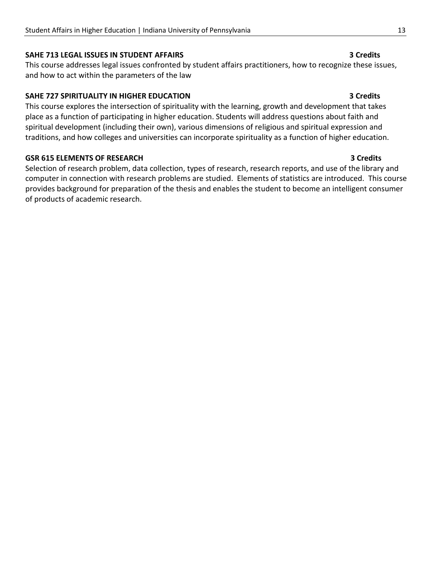#### **SAHE 713 LEGAL ISSUES IN STUDENT AFFAIRS 3 Credits**

This course addresses legal issues confronted by student affairs practitioners, how to recognize these issues, and how to act within the parameters of the law

#### **SAHE 727 SPIRITUALITY IN HIGHER EDUCATION 3 Credits**

This course explores the intersection of spirituality with the learning, growth and development that takes place as a function of participating in higher education. Students will address questions about faith and spiritual development (including their own), various dimensions of religious and spiritual expression and traditions, and how colleges and universities can incorporate spirituality as a function of higher education.

#### **GSR 615 ELEMENTS OF RESEARCH 3 Credits**

Selection of research problem, data collection, types of research, research reports, and use of the library and computer in connection with research problems are studied. Elements of statistics are introduced. This course provides background for preparation of the thesis and enables the student to become an intelligent consumer of products of academic research.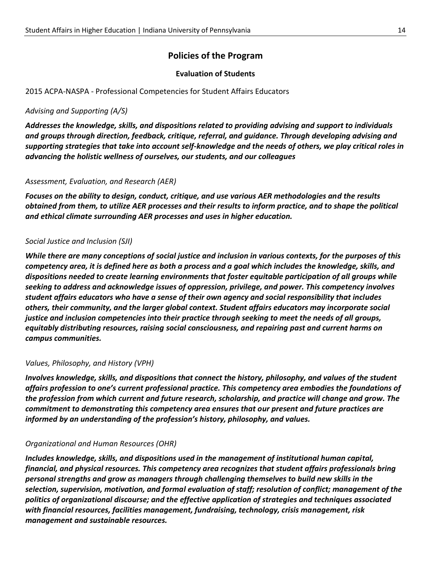# **Policies of the Program**

#### **Evaluation of Students**

2015 ACPA-NASPA - Professional Competencies for Student Affairs Educators

#### *Advising and Supporting (A/S)*

*Addresses the knowledge, skills, and dispositions related to providing advising and support to individuals and groups through direction, feedback, critique, referral, and guidance. Through developing advising and supporting strategies that take into account self-knowledge and the needs of others, we play critical roles in advancing the holistic wellness of ourselves, our students, and our colleagues*

#### *Assessment, Evaluation, and Research (AER)*

*Focuses on the ability to design, conduct, critique, and use various AER methodologies and the results obtained from them, to utilize AER processes and their results to inform practice, and to shape the political and ethical climate surrounding AER processes and uses in higher education.*

#### *Social Justice and Inclusion (SJI)*

*While there are many conceptions of social justice and inclusion in various contexts, for the purposes of this competency area, it is defined here as both a process and a goal which includes the knowledge, skills, and dispositions needed to create learning environments that foster equitable participation of all groups while seeking to address and acknowledge issues of oppression, privilege, and power. This competency involves student affairs educators who have a sense of their own agency and social responsibility that includes others, their community, and the larger global context. Student affairs educators may incorporate social justice and inclusion competencies into their practice through seeking to meet the needs of all groups, equitably distributing resources, raising social consciousness, and repairing past and current harms on campus communities.*

#### *Values, Philosophy, and History (VPH)*

*Involves knowledge, skills, and dispositions that connect the history, philosophy, and values of the student affairs profession to one's current professional practice. This competency area embodies the foundations of the profession from which current and future research, scholarship, and practice will change and grow. The commitment to demonstrating this competency area ensures that our present and future practices are informed by an understanding of the profession's history, philosophy, and values.*

#### *Organizational and Human Resources (OHR)*

*Includes knowledge, skills, and dispositions used in the management of institutional human capital, financial, and physical resources. This competency area recognizes that student affairs professionals bring personal strengths and grow as managers through challenging themselves to build new skills in the selection, supervision, motivation, and formal evaluation of staff; resolution of conflict; management of the politics of organizational discourse; and the effective application of strategies and techniques associated with financial resources, facilities management, fundraising, technology, crisis management, risk management and sustainable resources.*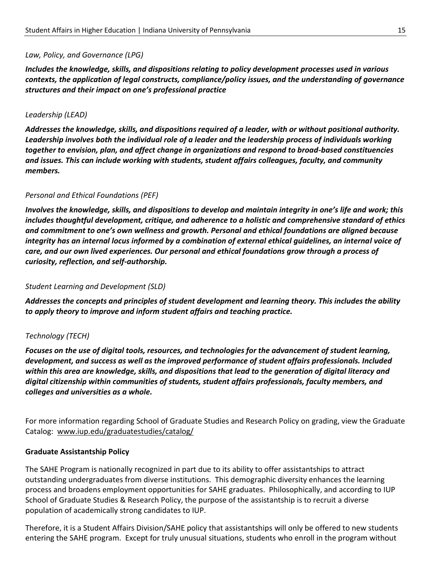#### *Law, Policy, and Governance (LPG)*

*Includes the knowledge, skills, and dispositions relating to policy development processes used in various contexts, the application of legal constructs, compliance/policy issues, and the understanding of governance structures and their impact on one's professional practice*

#### *Leadership (LEAD)*

*Addresses the knowledge, skills, and dispositions required of a leader, with or without positional authority. Leadership involves both the individual role of a leader and the leadership process of individuals working together to envision, plan, and affect change in organizations and respond to broad-based constituencies and issues. This can include working with students, student affairs colleagues, faculty, and community members.*

#### *Personal and Ethical Foundations (PEF)*

*Involves the knowledge, skills, and dispositions to develop and maintain integrity in one's life and work; this includes thoughtful development, critique, and adherence to a holistic and comprehensive standard of ethics and commitment to one's own wellness and growth. Personal and ethical foundations are aligned because integrity has an internal locus informed by a combination of external ethical guidelines, an internal voice of care, and our own lived experiences. Our personal and ethical foundations grow through a process of curiosity, reflection, and self-authorship.*

#### *Student Learning and Development (SLD)*

*Addresses the concepts and principles of student development and learning theory. This includes the ability to apply theory to improve and inform student affairs and teaching practice.*

#### *Technology (TECH)*

*Focuses on the use of digital tools, resources, and technologies for the advancement of student learning, development, and success as well as the improved performance of student affairs professionals. Included within this area are knowledge, skills, and dispositions that lead to the generation of digital literacy and digital citizenship within communities of students, student affairs professionals, faculty members, and colleges and universities as a whole.*

For more information regarding School of Graduate Studies and Research Policy on grading, view the Graduate Catalog: [www.iup.edu/graduatestudies/catalog/](http://www.iup.edu/graduatestudies/catalog/)

#### **Graduate Assistantship Policy**

The SAHE Program is nationally recognized in part due to its ability to offer assistantships to attract outstanding undergraduates from diverse institutions. This demographic diversity enhances the learning process and broadens employment opportunities for SAHE graduates. Philosophically, and according to IUP School of Graduate Studies & Research Policy, the purpose of the assistantship is to recruit a diverse population of academically strong candidates to IUP.

Therefore, it is a Student Affairs Division/SAHE policy that assistantships will only be offered to new students entering the SAHE program. Except for truly unusual situations, students who enroll in the program without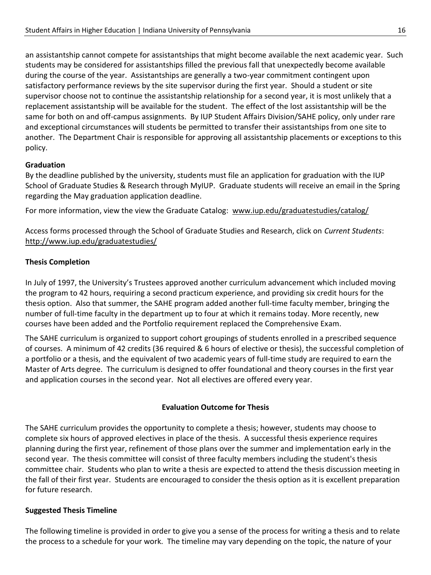an assistantship cannot compete for assistantships that might become available the next academic year. Such students may be considered for assistantships filled the previous fall that unexpectedly become available during the course of the year. Assistantships are generally a two-year commitment contingent upon satisfactory performance reviews by the site supervisor during the first year. Should a student or site supervisor choose not to continue the assistantship relationship for a second year, it is most unlikely that a replacement assistantship will be available for the student. The effect of the lost assistantship will be the same for both on and off-campus assignments. By IUP Student Affairs Division/SAHE policy, only under rare and exceptional circumstances will students be permitted to transfer their assistantships from one site to another. The Department Chair is responsible for approving all assistantship placements or exceptions to this policy.

#### **Graduation**

By the deadline published by the university, students must file an application for graduation with the IUP School of Graduate Studies & Research through MyIUP. Graduate students will receive an email in the Spring regarding the May graduation application deadline.

For more information, view the view the Graduate Catalog: [www.iup.edu/graduatestudies/catalog/](http://www.iup.edu/graduatestudies/catalog/)

Access forms processed through the School of Graduate Studies and Research, click on *Current Students*: <http://www.iup.edu/graduatestudies/>

#### **Thesis Completion**

In July of 1997, the University's Trustees approved another curriculum advancement which included moving the program to 42 hours, requiring a second practicum experience, and providing six credit hours for the thesis option. Also that summer, the SAHE program added another full-time faculty member, bringing the number of full-time faculty in the department up to four at which it remains today. More recently, new courses have been added and the Portfolio requirement replaced the Comprehensive Exam.

The SAHE curriculum is organized to support cohort groupings of students enrolled in a prescribed sequence of courses. A minimum of 42 credits (36 required & 6 hours of elective or thesis), the successful completion of a portfolio or a thesis, and the equivalent of two academic years of full-time study are required to earn the Master of Arts degree. The curriculum is designed to offer foundational and theory courses in the first year and application courses in the second year. Not all electives are offered every year.

#### **Evaluation Outcome for Thesis**

The SAHE curriculum provides the opportunity to complete a thesis; however, students may choose to complete six hours of approved electives in place of the thesis. A successful thesis experience requires planning during the first year, refinement of those plans over the summer and implementation early in the second year. The thesis committee will consist of three faculty members including the student's thesis committee chair. Students who plan to write a thesis are expected to attend the thesis discussion meeting in the fall of their first year. Students are encouraged to consider the thesis option as it is excellent preparation for future research.

#### **Suggested Thesis Timeline**

The following timeline is provided in order to give you a sense of the process for writing a thesis and to relate the process to a schedule for your work. The timeline may vary depending on the topic, the nature of your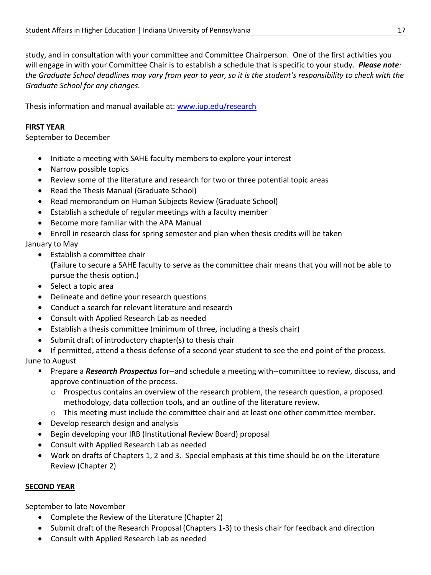study, and in consultation with your committee and Committee Chairperson. One of the first activities you will engage in with your Committee Chair is to establish a schedule that is specific to your study. *Please note: the Graduate School deadlines may vary from year to year, so it is the student's responsibility to check with the Graduate School for any changes.*

Thesis information and manual available at: [www.iup.edu/research](http://www.iup.edu/research)

#### **FIRST YEAR**

September to December

- Initiate a meeting with SAHE faculty members to explore your interest
- Narrow possible topics
- Review some of the literature and research for two or three potential topic areas
- Read the Thesis Manual (Graduate School)
- Read memorandum on Human Subjects Review (Graduate School)
- Establish a schedule of regular meetings with a faculty member
- Become more familiar with the APA Manual
- Enroll in research class for spring semester and plan when thesis credits will be taken

January to May

- Establish a committee chair **(**Failure to secure a SAHE faculty to serve as the committee chair means that you will not be able to pursue the thesis option.)
- Select a topic area
- Delineate and define your research questions
- Conduct a search for relevant literature and research
- Consult with Applied Research Lab as needed
- Establish a thesis committee (minimum of three, including a thesis chair)
- Submit draft of introductory chapter(s) to thesis chair
- If permitted, attend a thesis defense of a second year student to see the end point of the process. June to August
	- Prepare a *Research Prospectus* for--and schedule a meeting with--committee to review, discuss, and approve continuation of the process.
		- o Prospectus contains an overview of the research problem, the research question, a proposed methodology, data collection tools, and an outline of the literature review.
		- o This meeting must include the committee chair and at least one other committee member.
	- Develop research design and analysis
	- Begin developing your IRB (Institutional Review Board) proposal
	- Consult with Applied Research Lab as needed
	- Work on drafts of Chapters 1, 2 and 3. Special emphasis at this time should be on the Literature Review (Chapter 2)

#### **SECOND YEAR**

September to late November

- Complete the Review of the Literature (Chapter 2)
- Submit draft of the Research Proposal (Chapters 1-3) to thesis chair for feedback and direction
- Consult with Applied Research Lab as needed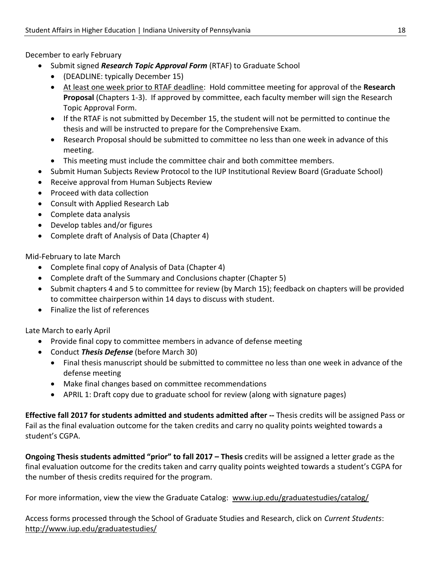December to early February

- Submit signed *Research Topic Approval Form* (RTAF) to Graduate School
	- (DEADLINE: typically December 15)
	- At least one week prior to RTAF deadline: Hold committee meeting for approval of the **Research Proposal** (Chapters 1-3). If approved by committee, each faculty member will sign the Research Topic Approval Form.
	- If the RTAF is not submitted by December 15, the student will not be permitted to continue the thesis and will be instructed to prepare for the Comprehensive Exam.
	- Research Proposal should be submitted to committee no less than one week in advance of this meeting.
	- This meeting must include the committee chair and both committee members.
- Submit Human Subjects Review Protocol to the IUP Institutional Review Board (Graduate School)
- Receive approval from Human Subjects Review
- Proceed with data collection
- Consult with Applied Research Lab
- Complete data analysis
- Develop tables and/or figures
- Complete draft of Analysis of Data (Chapter 4)

Mid-February to late March

- Complete final copy of Analysis of Data (Chapter 4)
- Complete draft of the Summary and Conclusions chapter (Chapter 5)
- Submit chapters 4 and 5 to committee for review (by March 15); feedback on chapters will be provided to committee chairperson within 14 days to discuss with student.
- Finalize the list of references

Late March to early April

- Provide final copy to committee members in advance of defense meeting
- Conduct *Thesis Defense* (before March 30)
	- Final thesis manuscript should be submitted to committee no less than one week in advance of the defense meeting
	- Make final changes based on committee recommendations
	- APRIL 1: Draft copy due to graduate school for review (along with signature pages)

**Effective fall 2017 for students admitted and students admitted after --** Thesis credits will be assigned Pass or Fail as the final evaluation outcome for the taken credits and carry no quality points weighted towards a student's CGPA.

**Ongoing Thesis students admitted "prior" to fall 2017 – Thesis** credits will be assigned a letter grade as the final evaluation outcome for the credits taken and carry quality points weighted towards a student's CGPA for the number of thesis credits required for the program.

For more information, view the view the Graduate Catalog: [www.iup.edu/graduatestudies/catalog/](http://www.iup.edu/graduatestudies/catalog/)

Access forms processed through the School of Graduate Studies and Research, click on *Current Students*: <http://www.iup.edu/graduatestudies/>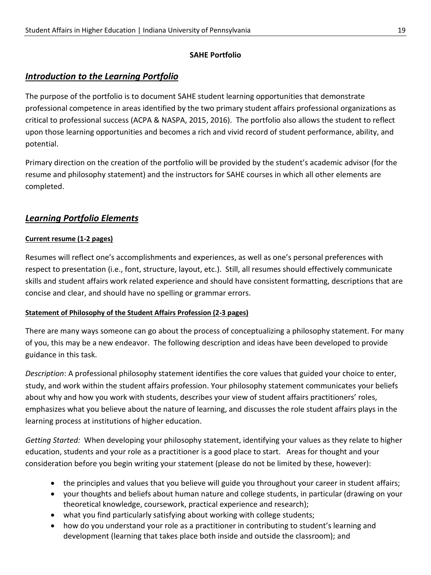### **SAHE Portfolio**

# *Introduction to the Learning Portfolio*

The purpose of the portfolio is to document SAHE student learning opportunities that demonstrate professional competence in areas identified by the two primary student affairs professional organizations as critical to professional success (ACPA & NASPA, 2015, 2016). The portfolio also allows the student to reflect upon those learning opportunities and becomes a rich and vivid record of student performance, ability, and potential.

Primary direction on the creation of the portfolio will be provided by the student's academic advisor (for the resume and philosophy statement) and the instructors for SAHE courses in which all other elements are completed.

# *Learning Portfolio Elements*

### **Current resume (1-2 pages)**

Resumes will reflect one's accomplishments and experiences, as well as one's personal preferences with respect to presentation (i.e., font, structure, layout, etc.). Still, all resumes should effectively communicate skills and student affairs work related experience and should have consistent formatting, descriptions that are concise and clear, and should have no spelling or grammar errors.

### **Statement of Philosophy of the Student Affairs Profession (2-3 pages)**

There are many ways someone can go about the process of conceptualizing a philosophy statement. For many of you, this may be a new endeavor. The following description and ideas have been developed to provide guidance in this task.

*Description*: A professional philosophy statement identifies the core values that guided your choice to enter, study, and work within the student affairs profession. Your philosophy statement communicates your beliefs about why and how you work with students, describes your view of student affairs practitioners' roles, emphasizes what you believe about the nature of learning, and discusses the role student affairs plays in the learning process at institutions of higher education.

*Getting Started:* When developing your philosophy statement, identifying your values as they relate to higher education, students and your role as a practitioner is a good place to start. Areas for thought and your consideration before you begin writing your statement (please do not be limited by these, however):

- the principles and values that you believe will guide you throughout your career in student affairs;
- your thoughts and beliefs about human nature and college students, in particular (drawing on your theoretical knowledge, coursework, practical experience and research);
- what you find particularly satisfying about working with college students;
- how do you understand your role as a practitioner in contributing to student's learning and development (learning that takes place both inside and outside the classroom); and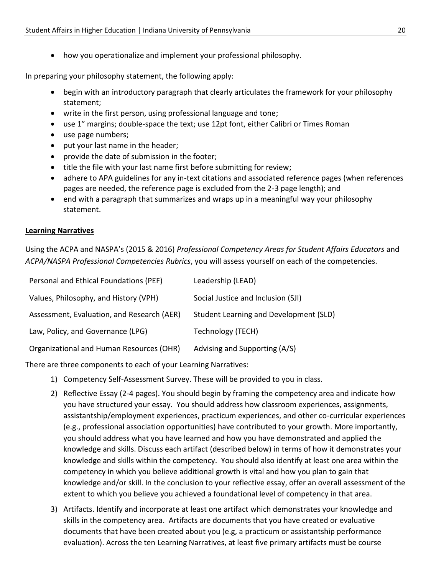• how you operationalize and implement your professional philosophy.

In preparing your philosophy statement, the following apply:

- begin with an introductory paragraph that clearly articulates the framework for your philosophy statement;
- write in the first person, using professional language and tone;
- use 1" margins; double-space the text; use 12pt font, either Calibri or Times Roman
- use page numbers;
- put your last name in the header;
- provide the date of submission in the footer;
- title the file with your last name first before submitting for review;
- adhere to APA guidelines for any in-text citations and associated reference pages (when references pages are needed, the reference page is excluded from the 2-3 page length); and
- end with a paragraph that summarizes and wraps up in a meaningful way your philosophy statement.

#### **Learning Narratives**

Using the ACPA and NASPA's (2015 & 2016) *Professional Competency Areas for Student Affairs Educators* and *ACPA/NASPA Professional Competencies Rubrics*, you will assess yourself on each of the competencies.

| Personal and Ethical Foundations (PEF)     | Leadership (LEAD)                      |
|--------------------------------------------|----------------------------------------|
| Values, Philosophy, and History (VPH)      | Social Justice and Inclusion (SJI)     |
| Assessment, Evaluation, and Research (AER) | Student Learning and Development (SLD) |
| Law, Policy, and Governance (LPG)          | Technology (TECH)                      |
| Organizational and Human Resources (OHR)   | Advising and Supporting (A/S)          |

There are three components to each of your Learning Narratives:

- 1) Competency Self-Assessment Survey. These will be provided to you in class.
- 2) Reflective Essay (2-4 pages). You should begin by framing the competency area and indicate how you have structured your essay. You should address how classroom experiences, assignments, assistantship/employment experiences, practicum experiences, and other co-curricular experiences (e.g., professional association opportunities) have contributed to your growth. More importantly, you should address what you have learned and how you have demonstrated and applied the knowledge and skills. Discuss each artifact (described below) in terms of how it demonstrates your knowledge and skills within the competency. You should also identify at least one area within the competency in which you believe additional growth is vital and how you plan to gain that knowledge and/or skill. In the conclusion to your reflective essay, offer an overall assessment of the extent to which you believe you achieved a foundational level of competency in that area.
- 3) Artifacts. Identify and incorporate at least one artifact which demonstrates your knowledge and skills in the competency area. Artifacts are documents that you have created or evaluative documents that have been created about you (e.g, a practicum or assistantship performance evaluation). Across the ten Learning Narratives, at least five primary artifacts must be course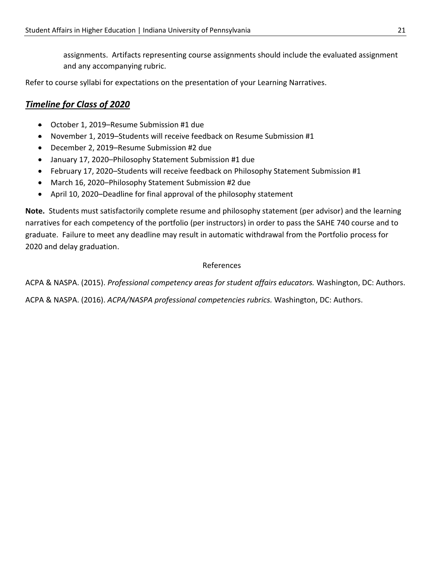assignments. Artifacts representing course assignments should include the evaluated assignment and any accompanying rubric.

Refer to course syllabi for expectations on the presentation of your Learning Narratives.

# *Timeline for Class of 2020*

- October 1, 2019–Resume Submission #1 due
- November 1, 2019–Students will receive feedback on Resume Submission #1
- December 2, 2019–Resume Submission #2 due
- January 17, 2020–Philosophy Statement Submission #1 due
- February 17, 2020–Students will receive feedback on Philosophy Statement Submission #1
- March 16, 2020–Philosophy Statement Submission #2 due
- April 10, 2020–Deadline for final approval of the philosophy statement

**Note.** Students must satisfactorily complete resume and philosophy statement (per advisor) and the learning narratives for each competency of the portfolio (per instructors) in order to pass the SAHE 740 course and to graduate. Failure to meet any deadline may result in automatic withdrawal from the Portfolio process for 2020 and delay graduation.

#### References

ACPA & NASPA. (2015). *Professional competency areas for student affairs educators.* Washington, DC: Authors.

ACPA & NASPA. (2016). *ACPA/NASPA professional competencies rubrics.* Washington, DC: Authors.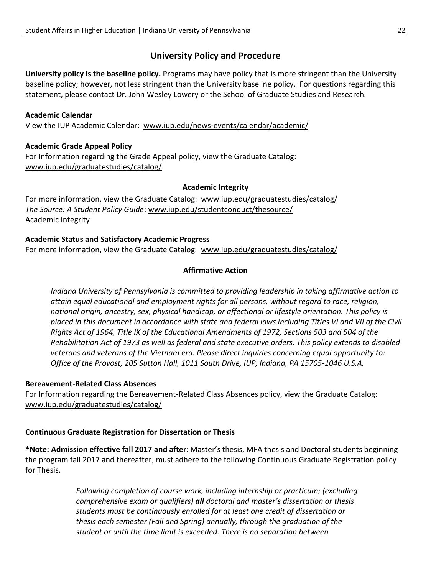# **University Policy and Procedure**

**University policy is the baseline policy.** Programs may have policy that is more stringent than the University baseline policy; however, not less stringent than the University baseline policy. For questions regarding this statement, please contact Dr. John Wesley Lowery or the School of Graduate Studies and Research.

#### **Academic Calendar**

View the IUP Academic Calendar: [www.iup.edu/news-events/calendar/academic/](http://www.iup.edu/news-events/calendar/academic/)

#### **Academic Grade Appeal Policy**

For Information regarding the Grade Appeal policy, view the Graduate Catalog: [www.iup.edu/graduatestudies/catalog/](http://www.iup.edu/graduatestudies/catalog/)

#### **Academic Integrity**

For more information, view the Graduate Catalog: [www.iup.edu/graduatestudies/catalog/](http://www.iup.edu/graduatestudies/catalog/) *The Source: A Student Policy Guide*: [www.iup.edu/studentconduct/thesource/](http://www.iup.edu/studentconduct/thesource/) Academic Integrity

#### **Academic Status and Satisfactory Academic Progress**

For more information, view the Graduate Catalog: [www.iup.edu/graduatestudies/catalog/](http://www.iup.edu/graduatestudies/catalog/)

### **Affirmative Action**

*Indiana University of Pennsylvania is committed to providing leadership in taking affirmative action to attain equal educational and employment rights for all persons, without regard to race, religion, national origin, ancestry, sex, physical handicap, or affectional or lifestyle orientation. This policy is placed in this document in accordance with state and federal laws including Titles VI and VII of the Civil Rights Act of 1964, Title IX of the Educational Amendments of 1972, Sections 503 and 504 of the Rehabilitation Act of 1973 as well as federal and state executive orders. This policy extends to disabled veterans and veterans of the Vietnam era. Please direct inquiries concerning equal opportunity to: Office of the Provost, 205 Sutton Hall, 1011 South Drive, IUP, Indiana, PA 15705-1046 U.S.A.*

#### **Bereavement-Related Class Absences**

For Information regarding the Bereavement-Related Class Absences policy, view the Graduate Catalog: [www.iup.edu/graduatestudies/catalog/](http://www.iup.edu/graduatestudies/catalog/)

### **Continuous Graduate Registration for Dissertation or Thesis**

**\*Note: Admission effective fall 2017 and after**: Master's thesis, MFA thesis and Doctoral students beginning the program fall 2017 and thereafter, must adhere to the following Continuous Graduate Registration policy for Thesis.

> *Following completion of course work, including internship or practicum; (excluding comprehensive exam or qualifiers) all doctoral and master's dissertation or thesis students must be continuously enrolled for at least one credit of dissertation or thesis each semester (Fall and Spring) annually, through the graduation of the student or until the time limit is exceeded. There is no separation between*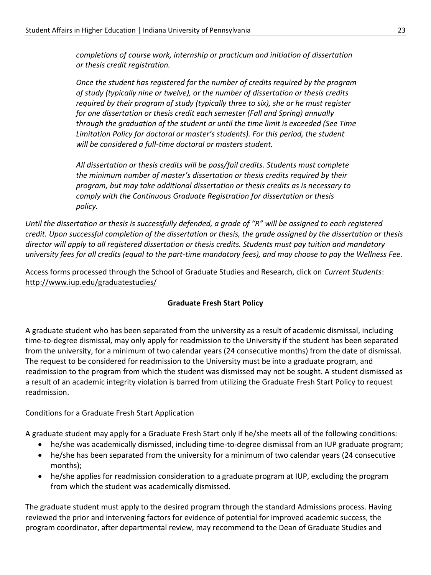*completions of course work, internship or practicum and initiation of dissertation or thesis credit registration.* 

*Once the student has registered for the number of credits required by the program of study (typically nine or twelve), or the number of dissertation or thesis credits required by their program of study (typically three to six), she or he must register for one dissertation or thesis credit each semester (Fall and Spring) annually through the graduation of the student or until the time limit is exceeded (See Time Limitation Policy for doctoral or master's students). For this period, the student will be considered a full-time doctoral or masters student.*

*All dissertation or thesis credits will be pass/fail credits. Students must complete the minimum number of master's dissertation or thesis credits required by their program, but may take additional dissertation or thesis credits as is necessary to comply with the Continuous Graduate Registration for dissertation or thesis policy.*

*Until the dissertation or thesis is successfully defended, a grade of "R" will be assigned to each registered credit. Upon successful completion of the dissertation or thesis, the grade assigned by the dissertation or thesis director will apply to all registered dissertation or thesis credits. Students must pay tuition and mandatory university fees for all credits (equal to the part-time mandatory fees), and may choose to pay the Wellness Fee.*

Access forms processed through the School of Graduate Studies and Research, click on *Current Students*: <http://www.iup.edu/graduatestudies/>

#### **Graduate Fresh Start Policy**

A graduate student who has been separated from the university as a result of academic dismissal, including time-to-degree dismissal, may only apply for readmission to the University if the student has been separated from the university, for a minimum of two calendar years (24 consecutive months) from the date of dismissal. The request to be considered for readmission to the University must be into a graduate program, and readmission to the program from which the student was dismissed may not be sought. A student dismissed as a result of an academic integrity violation is barred from utilizing the Graduate Fresh Start Policy to request readmission.

### Conditions for a Graduate Fresh Start Application

A graduate student may apply for a Graduate Fresh Start only if he/she meets all of the following conditions:

- he/she was academically dismissed, including time-to-degree dismissal from an IUP graduate program;
- he/she has been separated from the university for a minimum of two calendar years (24 consecutive months);
- he/she applies for readmission consideration to a graduate program at IUP, excluding the program from which the student was academically dismissed.

The graduate student must apply to the desired program through the standard Admissions process. Having reviewed the prior and intervening factors for evidence of potential for improved academic success, the program coordinator, after departmental review, may recommend to the Dean of Graduate Studies and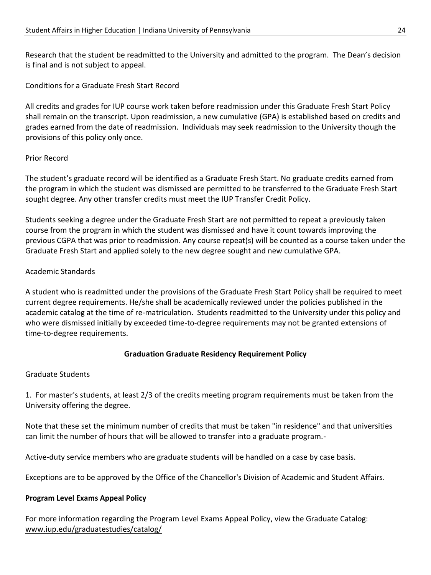Research that the student be readmitted to the University and admitted to the program. The Dean's decision is final and is not subject to appeal.

Conditions for a Graduate Fresh Start Record

All credits and grades for IUP course work taken before readmission under this Graduate Fresh Start Policy shall remain on the transcript. Upon readmission, a new cumulative (GPA) is established based on credits and grades earned from the date of readmission. Individuals may seek readmission to the University though the provisions of this policy only once.

#### Prior Record

The student's graduate record will be identified as a Graduate Fresh Start. No graduate credits earned from the program in which the student was dismissed are permitted to be transferred to the Graduate Fresh Start sought degree. Any other transfer credits must meet the IUP Transfer Credit Policy.

Students seeking a degree under the Graduate Fresh Start are not permitted to repeat a previously taken course from the program in which the student was dismissed and have it count towards improving the previous CGPA that was prior to readmission. Any course repeat(s) will be counted as a course taken under the Graduate Fresh Start and applied solely to the new degree sought and new cumulative GPA.

#### Academic Standards

A student who is readmitted under the provisions of the Graduate Fresh Start Policy shall be required to meet current degree requirements. He/she shall be academically reviewed under the policies published in the academic catalog at the time of re-matriculation. Students readmitted to the University under this policy and who were dismissed initially by exceeded time-to-degree requirements may not be granted extensions of time-to-degree requirements.

### **Graduation Graduate Residency Requirement Policy**

#### Graduate Students

1. For master's students, at least 2/3 of the credits meeting program requirements must be taken from the University offering the degree.

Note that these set the minimum number of credits that must be taken "in residence" and that universities can limit the number of hours that will be allowed to transfer into a graduate program.-

Active-duty service members who are graduate students will be handled on a case by case basis.

Exceptions are to be approved by the Office of the Chancellor's Division of Academic and Student Affairs.

### **Program Level Exams Appeal Policy**

For more information regarding the Program Level Exams Appeal Policy, view the Graduate Catalog: [www.iup.edu/graduatestudies/catalog/](http://www.iup.edu/graduatestudies/catalog/)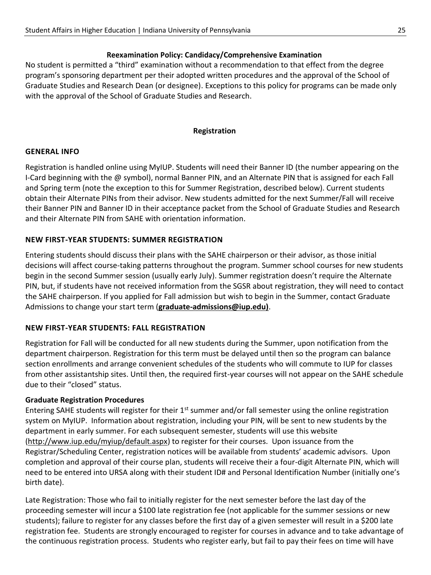### **Reexamination Policy: Candidacy/Comprehensive Examination**

No student is permitted a "third" examination without a recommendation to that effect from the degree program's sponsoring department per their adopted written procedures and the approval of the School of Graduate Studies and Research Dean (or designee). Exceptions to this policy for programs can be made only with the approval of the School of Graduate Studies and Research.

#### **Registration**

#### **GENERAL INFO**

Registration is handled online using MyIUP. Students will need their Banner ID (the number appearing on the I-Card beginning with the @ symbol), normal Banner PIN, and an Alternate PIN that is assigned for each Fall and Spring term (note the exception to this for Summer Registration, described below). Current students obtain their Alternate PINs from their advisor. New students admitted for the next Summer/Fall will receive their Banner PIN and Banner ID in their acceptance packet from the School of Graduate Studies and Research and their Alternate PIN from SAHE with orientation information.

### **NEW FIRST-YEAR STUDENTS: SUMMER REGISTRATION**

Entering students should discuss their plans with the SAHE chairperson or their advisor, as those initial decisions will affect course-taking patterns throughout the program. Summer school courses for new students begin in the second Summer session (usually early July). Summer registration doesn't require the Alternate PIN, but, if students have not received information from the SGSR about registration, they will need to contact the SAHE chairperson. If you applied for Fall admission but wish to begin in the Summer, contact Graduate Admissions to change your start term (**[graduate-admissions@iup.edu\)](mailto:graduate-admissions@iup.edu)**.

### **NEW FIRST-YEAR STUDENTS: FALL REGISTRATION**

Registration for Fall will be conducted for all new students during the Summer, upon notification from the department chairperson. Registration for this term must be delayed until then so the program can balance section enrollments and arrange convenient schedules of the students who will commute to IUP for classes from other assistantship sites. Until then, the required first-year courses will not appear on the SAHE schedule due to their "closed" status.

### **Graduate Registration Procedures**

Entering SAHE students will register for their  $1<sup>st</sup>$  summer and/or fall semester using the online registration system on MyIUP. Information about registration, including your PIN, will be sent to new students by the department in early summer. For each subsequent semester, students will use this website [\(http://www.iup.edu/myiup/default.aspx\)](http://www.iup.edu/myiup/default.aspx) to register for their courses. Upon issuance from the Registrar/Scheduling Center, registration notices will be available from students' academic advisors. Upon completion and approval of their course plan, students will receive their a four-digit Alternate PIN, which will need to be entered into URSA along with their student ID# and Personal Identification Number (initially one's birth date).

Late Registration: Those who fail to initially register for the next semester before the last day of the proceeding semester will incur a \$100 late registration fee (not applicable for the summer sessions or new students); failure to register for any classes before the first day of a given semester will result in a \$200 late registration fee. Students are strongly encouraged to register for courses in advance and to take advantage of the continuous registration process. Students who register early, but fail to pay their fees on time will have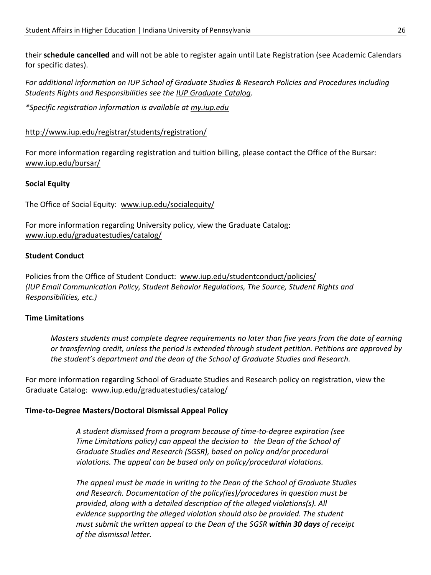their **schedule cancelled** and will not be able to register again until Late Registration (see Academic Calendars for specific dates).

*For additional information on IUP School of Graduate Studies & Research Policies and Procedures including Students Rights and Responsibilities see the [IUP Graduate Catalog.](http://www.iup.edu/graduatestudies/catalog/)*

*\*Specific registration information is available at [my.iup.edu](http://my.iup.edu/)*

#### <http://www.iup.edu/registrar/students/registration/>

For more information regarding registration and tuition billing, please contact the Office of the Bursar: [www.iup.edu/bursar/](http://www.iup.edu/bursar/)

#### **Social Equity**

The Office of Social Equity: [www.iup.edu/socialequity/](http://www.iup.edu/socialequity/)

For more information regarding University policy, view the Graduate Catalog: [www.iup.edu/graduatestudies/catalog/](http://www.iup.edu/graduatestudies/catalog/)

#### **Student Conduct**

Policies from the Office of Student Conduct: [www.iup.edu/studentconduct/policies/](http://www.iup.edu/studentconduct/policies/) *(IUP Email Communication Policy, Student Behavior Regulations, The Source, Student Rights and Responsibilities, etc.)*

#### **Time Limitations**

*Masters students must complete degree requirements no later than five years from the date of earning or transferring credit, unless the period is extended through student petition. Petitions are approved by the student's department and the dean of the School of Graduate Studies and Research.* 

For more information regarding School of Graduate Studies and Research policy on registration, view the Graduate Catalog: [www.iup.edu/graduatestudies/catalog/](http://www.iup.edu/graduatestudies/catalog/)

#### **Time-to-Degree Masters/Doctoral Dismissal Appeal Policy**

*A student dismissed from a program because of time-to-degree expiration (see Time Limitations policy) can appeal the decision to the Dean of the School of Graduate Studies and Research (SGSR), based on policy and/or procedural violations. The appeal can be based only on policy/procedural violations.* 

*The appeal must be made in writing to the Dean of the School of Graduate Studies and Research. Documentation of the policy(ies)/procedures in question must be provided, along with a detailed description of the alleged violations(s). All evidence supporting the alleged violation should also be provided. The student must submit the written appeal to the Dean of the SGSR within 30 days of receipt of the dismissal letter.*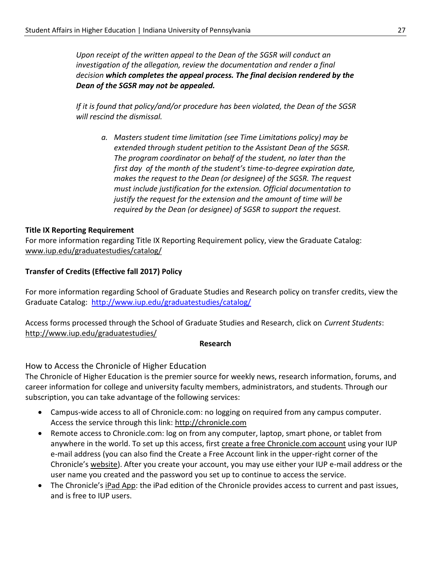*Upon receipt of the written appeal to the Dean of the SGSR will conduct an investigation of the allegation, review the documentation and render a final decision which completes the appeal process. The final decision rendered by the Dean of the SGSR may not be appealed.*

*If it is found that policy/and/or procedure has been violated, the Dean of the SGSR will rescind the dismissal.* 

*a. Masters student time limitation (see Time Limitations policy) may be extended through student petition to the Assistant Dean of the SGSR. The program coordinator on behalf of the student, no later than the first day of the month of the student's time-to-degree expiration date, makes the request to the Dean (or designee) of the SGSR. The request must include justification for the extension. Official documentation to justify the request for the extension and the amount of time will be required by the Dean (or designee) of SGSR to support the request.*

#### **Title IX Reporting Requirement**

For more information regarding Title IX Reporting Requirement policy, view the Graduate Catalog: [www.iup.edu/graduatestudies/catalog/](http://www.iup.edu/graduatestudies/catalog/)

#### **Transfer of Credits (Effective fall 2017) Policy**

For more information regarding School of Graduate Studies and Research policy on transfer credits, view the Graduate Catalog: <http://www.iup.edu/graduatestudies/catalog/>

Access forms processed through the School of Graduate Studies and Research, click on *Current Students*: <http://www.iup.edu/graduatestudies/>

#### **Research**

How to Access the Chronicle of Higher Education

The Chronicle of Higher Education is the premier source for weekly news, research information, forums, and career information for college and university faculty members, administrators, and students. Through our subscription, you can take advantage of the following services:

- Campus-wide access to all of Chronicle.com: no logging on required from any campus computer. Access the service through this link: [http://chronicle.com](http://chronicle.com/)
- Remote access to Chronicle.com: log on from any computer, laptop, smart phone, or tablet from anywhere in the world. To set up this access, first [create a free Chronicle.com account](http://chronicle.com/myaccount/createfreeaccount) using your IUP e-mail address (you can also find the Create a Free Account link in the upper-right corner of the Chronicle's [website\)](http://chronicle.com/). After you create your account, you may use either your IUP e-mail address or the user name you created and the password you set up to continue to access the service.
- The Chronicle's [iPad App:](https://itunes.apple.com/us/app/chronicle-higher-education/id414901678) the iPad edition of the Chronicle provides access to current and past issues, and is free to IUP users.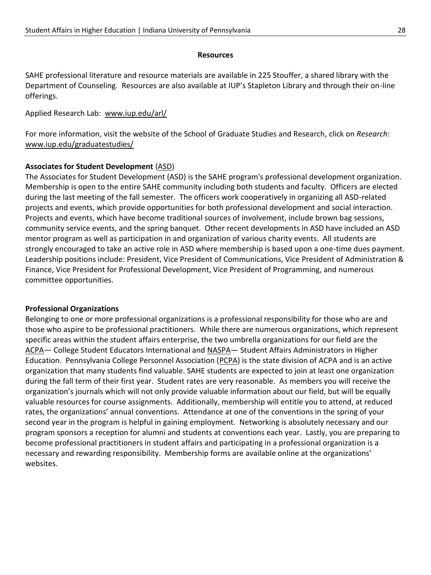#### **Resources**

SAHE professional literature and resource materials are available in 225 Stouffer, a shared library with the Department of Counseling. Resources are also available at IUP's Stapleton Library and through their on-line offerings.

#### Applied Research Lab: [www.iup.edu/arl/](http://www.iup.edu/arl/)

For more information, visit the website of the School of Graduate Studies and Research, click on *Research*: [www.iup.edu/graduatestudies/](http://www.iup.edu/graduatestudies/)

#### **Associates for Student Development** [\(ASD\)](http://www.iup.edu/page.aspx?id=10861)

The Associates for Student Development (ASD) is the SAHE program's professional development organization. Membership is open to the entire SAHE community including both students and faculty. Officers are elected during the last meeting of the fall semester. The officers work cooperatively in organizing all ASD-related projects and events, which provide opportunities for both professional development and social interaction. Projects and events, which have become traditional sources of involvement, include brown bag sessions, community service events, and the spring banquet. Other recent developments in ASD have included an ASD mentor program as well as participation in and organization of various charity events. All students are strongly encouraged to take an active role in ASD where membership is based upon a one-time dues payment. Leadership positions include: President, Vice President of Communications, Vice President of Administration & Finance, Vice President for Professional Development, Vice President of Programming, and numerous committee opportunities.

#### **Professional Organizations**

Belonging to one or more professional organizations is a professional responsibility for those who are and those who aspire to be professional practitioners. While there are numerous organizations, which represent specific areas within the student affairs enterprise, the two umbrella organizations for our field are the [ACPA](http://www.myacpa.org/)- College Student Educators International and [NASPA](https://www.naspa.org/)- Student Affairs Administrators in Higher Education. Pennsylvania College Personnel Association [\(PCPA\)](http://www.pcpa.net/) is the state division of ACPA and is an active organization that many students find valuable. SAHE students are expected to join at least one organization during the fall term of their first year. Student rates are very reasonable. As members you will receive the organization's journals which will not only provide valuable information about our field, but will be equally valuable resources for course assignments. Additionally, membership will entitle you to attend, at reduced rates, the organizations' annual conventions. Attendance at one of the conventions in the spring of your second year in the program is helpful in gaining employment. Networking is absolutely necessary and our program sponsors a reception for alumni and students at conventions each year. Lastly, you are preparing to become professional practitioners in student affairs and participating in a professional organization is a necessary and rewarding responsibility. Membership forms are available online at the organizations' websites.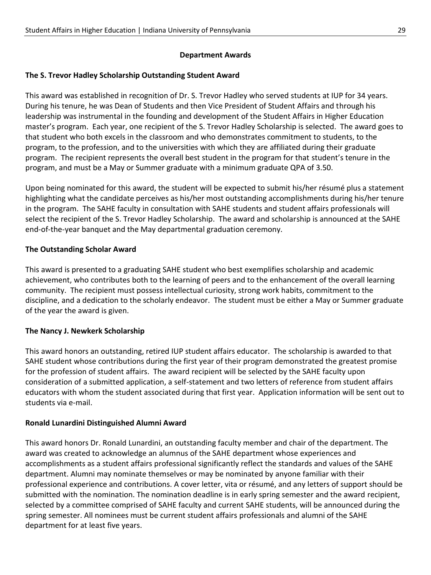### **Department Awards**

### **The S. Trevor Hadley Scholarship Outstanding Student Award**

This award was established in recognition of Dr. S. Trevor Hadley who served students at IUP for 34 years. During his tenure, he was Dean of Students and then Vice President of Student Affairs and through his leadership was instrumental in the founding and development of the Student Affairs in Higher Education master's program. Each year, one recipient of the S. Trevor Hadley Scholarship is selected. The award goes to that student who both excels in the classroom and who demonstrates commitment to students, to the program, to the profession, and to the universities with which they are affiliated during their graduate program. The recipient represents the overall best student in the program for that student's tenure in the program, and must be a May or Summer graduate with a minimum graduate QPA of 3.50.

Upon being nominated for this award, the student will be expected to submit his/her résumé plus a statement highlighting what the candidate perceives as his/her most outstanding accomplishments during his/her tenure in the program. The SAHE faculty in consultation with SAHE students and student affairs professionals will select the recipient of the S. Trevor Hadley Scholarship. The award and scholarship is announced at the SAHE end-of-the-year banquet and the May departmental graduation ceremony.

### **The Outstanding Scholar Award**

This award is presented to a graduating SAHE student who best exemplifies scholarship and academic achievement, who contributes both to the learning of peers and to the enhancement of the overall learning community. The recipient must possess intellectual curiosity, strong work habits, commitment to the discipline, and a dedication to the scholarly endeavor. The student must be either a May or Summer graduate of the year the award is given.

### **The Nancy J. Newkerk Scholarship**

This award honors an outstanding, retired IUP student affairs educator. The scholarship is awarded to that SAHE student whose contributions during the first year of their program demonstrated the greatest promise for the profession of student affairs. The award recipient will be selected by the SAHE faculty upon consideration of a submitted application, a self-statement and two letters of reference from student affairs educators with whom the student associated during that first year. Application information will be sent out to students via e-mail.

### **Ronald Lunardini Distinguished Alumni Award**

This award honors Dr. Ronald Lunardini, an outstanding faculty member and chair of the department. The award was created to acknowledge an alumnus of the SAHE department whose experiences and accomplishments as a student affairs professional significantly reflect the standards and values of the SAHE department. Alumni may nominate themselves or may be nominated by anyone familiar with their professional experience and contributions. A cover letter, vita or résumé, and any letters of support should be submitted with the nomination. The nomination deadline is in early spring semester and the award recipient, selected by a committee comprised of SAHE faculty and current SAHE students, will be announced during the spring semester. All nominees must be current student affairs professionals and alumni of the SAHE department for at least five years.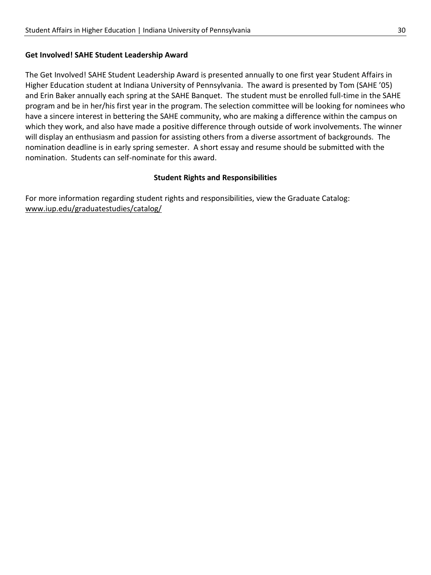#### **Get Involved! SAHE Student Leadership Award**

The Get Involved! SAHE Student Leadership Award is presented annually to one first year Student Affairs in Higher Education student at Indiana University of Pennsylvania. The award is presented by Tom (SAHE '05) and Erin Baker annually each spring at the SAHE Banquet. The student must be enrolled full-time in the SAHE program and be in her/his first year in the program. The selection committee will be looking for nominees who have a sincere interest in bettering the SAHE community, who are making a difference within the campus on which they work, and also have made a positive difference through outside of work involvements. The winner will display an enthusiasm and passion for assisting others from a diverse assortment of backgrounds. The nomination deadline is in early spring semester. A short essay and resume should be submitted with the nomination. Students can self-nominate for this award.

#### **Student Rights and Responsibilities**

For more information regarding student rights and responsibilities, view the Graduate Catalog: [www.iup.edu/graduatestudies/catalog/](http://www.iup.edu/graduatestudies/catalog/)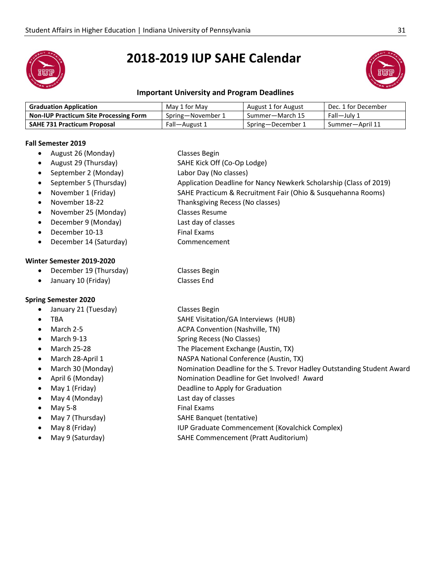

# **2018-2019 IUP SAHE Calendar**



#### **Important University and Program Deadlines**

| <b>Graduation Application</b>                 | May 1 for May     | August 1 for August | Dec. 1 for December |
|-----------------------------------------------|-------------------|---------------------|---------------------|
| <b>Non-IUP Practicum Site Processing Form</b> | Spring—November 1 | Summer—March 15     | Fall—Julv 1         |
| <b>SAHE 731 Practicum Proposal</b>            | Fall-August 1     | Spring—December 1   | Summer-April 11     |

#### **Fall Semester 2019**

- August 26 (Monday) Classes Begin
- August 29 (Thursday) SAHE Kick Off (Co-Op Lodge)
- September 2 (Monday) Labor Day (No classes)
- September 5 (Thursday) Application Deadline for Nancy Newkerk Scholarship (Class of 2019)
- November 1 (Friday) SAHE Practicum & Recruitment Fair (Ohio & Susquehanna Rooms)
- November 18-22 Thanksgiving Recess (No classes)
- November 25 (Monday) Classes Resume
- December 9 (Monday) Last day of classes
- **December 10-13** Final Exams
- December 14 (Saturday) Commencement

#### **Winter Semester 2019-2020**

- December 19 (Thursday) Classes Begin
- January 10 (Friday) Classes End

#### **Spring Semester 2020**

- January 21 (Tuesday) Classes Begin
- 
- 
- 
- 
- 
- 
- 
- 
- May 4 (Monday) and the control of classes and May of classes
- 
- 
- 
- 
- 
- 
- TBA **SAHE Visitation/GA Interviews** (HUB)
- March 2-5 ACPA Convention (Nashville, TN)
- March 9-13 Spring Recess (No Classes)
- March 25-28 The Placement Exchange (Austin, TX)
- March 28-April 1 NASPA National Conference (Austin, TX)
	- March 30 (Monday) Nomination Deadline for the S. Trevor Hadley Outstanding Student Award
- April 6 (Monday) Nomination Deadline for Get Involved! Award
- May 1 (Friday) and the Deadline to Apply for Graduation
	-
	- May 5-8 Final Exams
	- May 7 (Thursday) SAHE Banquet (tentative)
	- May 8 (Friday) IUP Graduate Commencement (Kovalchick Complex)
	- May 9 (Saturday) SAHE Commencement (Pratt Auditorium)